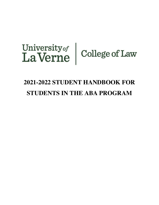# University of College of Law

# **2021-2022 STUDENT HANDBOOK FOR STUDENTS IN THE ABA PROGRAM**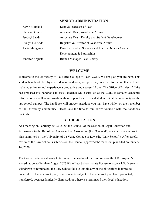#### **SENIOR ADMINISTRATION**

| Kevin Marshall   | Dean & Professor of Law                                |
|------------------|--------------------------------------------------------|
| Placido Gomez    | Associate Dean, Academic Affairs                       |
| Jendayi Saada    | Associate Dean, Faculty and Student Development        |
| Evelyn De Anda   | Registrar & Director of Academic Affairs               |
| Akita Mungaray   | Director, Student Services and Interim Director Career |
|                  | Development & Externships                              |
| Jennifer Argueta | Branch Manager, Law Library                            |

#### **WELCOME**

Welcome to the University of La Verne College of Law (COL). We are glad you are here. This student handbook, hereby referred to as handbook, will provide you with information that will help make your law school experience a productive and successful one. The Office of Student Affairs has prepared this handbook to assist students while enrolled at the COL. It contains academic information as well as information about support services and student life at the university on the law school campus. The handbook will answer questions you may have while you are a member of the University community. Please take the time to familiarize yourself with the handbook contents.

# **ACCREDITATION**

At a meeting on February 20-22, 2020, the Council of the Section of Legal Education and Admissions to the Bar of the American Bar Association (the "Council") considered a teach-out plan submitted by the University of La Verne College of Law (the "Law School"). After careful review of the Law School's submission, the Council approved the teach-out plan filed on January 14, 2020.

The Council retains authority to terminate the teach-out plan and remove the J.D. program's accreditation earlier than August 2023 if the Law School's state license to issue a J.D. degree is withdrawn or terminated; the Law School fails to uphold any of the obligations it agrees to undertake in the teach-out plan; or all students subject to the teach-out plan have graduated, transferred, been academically dismissed, or otherwise terminated their legal education.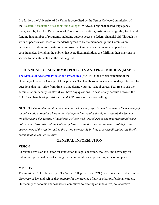In addition, the University of La Verne is accredited by the Senior College Commission of the [Western Association of Schools and Colleges](http://www.wascsenior.org/) (WASC), a regional accrediting agency recognized by the U.S. Department of Education as certifying institutional eligibility for federal funding in a number of programs, including student access to federal financial aid. Through its work of peer review, based on standards agreed to by the membership, the Commission encourages continuous institutional improvement and assures the membership and its constituencies, including the public, that accredited institutions are fulfilling their missions in service to their students and the public good.

# **MANUAL OF ACADEMIC POLICIES AND PROCEDURES (MAPP)**

The Manual of Academic Policies and [Procedures](https://law.laverne.edu/students/wp-content/uploads/sites/15/2020/08/Manual-for-Academic-Policies-and-Procedures%E2%80%94California-Approved-and-Accredited-Law-Program.pdf) (MAPP) is the official statement of the University of La Verne College of Law policies. The handbook serves as a secondary reference for questions that may arise from time to time during your law school career. Feel free to ask the administration, faculty, or staff if you have any questions. In case of any conflict between the MAPP and handbook provisions, the MAPP provisions are controlling.

**NOTICE:** *The reader should take notice that while every effort is made to ensure the accuracy of the information contained herein, the College of Law retains the right to modify the Student Handbook and the Manual of Academic Policies and Procedures at any time without advance notice. The University and the College of Law provide the information herein solely for the convenience of the reader and, to the extent permissible by law, expressly disclaims any liability that may otherwise be incurred.*

# **GENERAL INFORMATION**

#### **VISION**

La Verne Law is an incubator for innovation in legal education, thought, and advocacy for individuals passionate about serving their communities and promoting access and justice.

#### **MISSION**

The mission of The University of La Verne College of Law (COL) is to guide our students in the discovery of law and self as they prepare for the practice of law or other professional careers. Our faculty of scholars and teachers is committed to creating an innovative, collaborative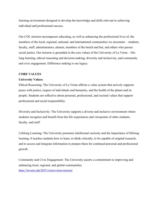learning environment designed to develop the knowledge and skills relevant to achieving individual and professional success.

Our COL mission encompasses educating, as well as enhancing the professional lives of, the members of the local, regional, national, and international communities we encounter – students, faculty, staff, administrators, alumni, members of the bench and bar, and others who pursue social justice. Our mission is grounded in the core values of the University of La Verne – lifelong learning, ethical reasoning and decision-making, diversity and inclusivity, and community and civic engagement. Difference making is our legacy.

#### **CORE VALUES**

#### **University Values:**

Ethical Reasoning: The University of La Verne affirms a value system that actively supports peace with justice, respect of individuals and humanity, and the health of the planet and its people. Students are reflective about personal, professional, and societal values that support professional and social responsibility.

Diversity and Inclusivity: The University supports a diverse and inclusive environment where students recognize and benefit from the life experiences and viewpoints of other students, faculty, and staff.

Lifelong Learning: The University promotes intellectual curiosity and the importance of lifelong learning. It teaches students how to learn, to think critically, to be capable of original research, and to access and integrate information to prepare them for continued personal and professional growth.

Community and Civic Engagement: The University asserts a commitment to improving and enhancing local, regional, and global communities.

<https://laverne.edu/2025-vision/vision-mission/>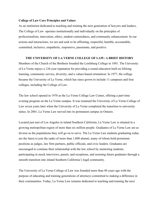#### **College of Law Core Principles and Values**

As an institution dedicated to teaching and training the next generation of lawyers and leaders, The College of Law operates institutionally and individually on the principles of professionalism, innovation, ethics, student centeredness, and community enhancement. In our actions and interactions, we are and seek to be affirming, respectful, humble, accountable, committed, inclusive, empathetic, responsive, passionate, and positive.

#### **THE UNIVERSITY OF LA VERNE COLLEGE OF LAW: A BRIEF HISTORY**

Members of the Church of the Brethren founded the Lordsburg College in 1891. The University of La Verne enjoys a 126-year reputation for providing a sound education built on lifelong learning, community service, diversity, and a values-based orientation. In 1977, the college became the University of La Verne, which has since grown to include 11 campuses and four colleges, including the College of Law.

The law school opened in 1970 as the La Verne College Law Center, offering a part-time evening program on the La Verne campus. It was renamed the University of La Verne College of Law seven years later when the University of La Verne completed the transition to university status. In 2001, La Verne Law moved into its permanent campus in Ontario.

Located just east of Los Angeles in inland Southern California, La Verne Law is situated in a growing metropolitan region of more than six million people. Graduates of La Verne Law are as diverse as the populations they will go on to serve. The La Verne Law students graduating today are the latest to join the ranks of more than 1,800 alumni, many of whom hold prominent positions as judges, law firm partners, public officials, and civic leaders. Graduates are encouraged to continue their relationship with the law school by mentoring students, participating in mock interviews, panels, and receptions, and assisting future graduates through a smooth transition into inland Southern California's legal community.

The University of La Verne College of Law was founded more than 40 years ago with the purpose of educating and training generations of attorneys committed to making a difference in their communities. Today, La Verne Law remains dedicated to teaching and training the next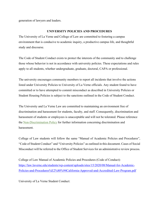generation of lawyers and leaders.

#### **UNIVERSITY POLICIES AND PROCEDURES**

The University of La Verne and College of Law are committed to fostering a campus environment that is conducive to academic inquiry, a productive campus life, and thoughtful study and discourse.

The [Code of Student Conduct](https://laverne.edu/student-affairs/student-conduct/) exists to protect the interests of the community and to challenge those whose behavior is not in accordance with university policies. These expectations and rules apply to all students, whether undergraduate, graduate, doctoral, CAPA or professional.

The university encourages community members to report all incidents that involve the actions listed under University Policies to University of La Verne officials. Any student found to have committed or to have attempted to commit misconduct as described in University Policies or Student Housing Policies is subject to the sanctions outlined in the Code of Student Conduct.

The University and La Verne Law are committed to maintaining an environment free of discrimination and harassment for students, faculty, and staff. Consequently, discrimination and harassment of students or employees is unacceptable and will not be tolerated. Please reference the [Non-Discrimination Policy](https://law.laverne.edu/discrimination/) for further information concerning discrimination and harassment.

College of Law students will follow the same "Manual of Academic Policies and Procedures", "Code of Student Conduct" and "University Policies" as outlined in this document. Cases of Social Misconduct will be referred to the Office of Student Services for an administrative review process.

College of Law Manual of Academic Policies and Procedures (Code of Conduct): [https://law.laverne.edu/students/wp-content/uploads/sites/15/2020/08/Manual-for-Academic](https://law.laverne.edu/students/wp-content/uploads/sites/15/2020/08/Manual-for-Academic-Policies-and-Procedures%E2%80%94California-Approved-and-Accredited-Law-Program.pdf)-[Policies-and-Procedures%E2%80%94California-Approved-and-Accredited-Law-Program.pdf](https://law.laverne.edu/students/wp-content/uploads/sites/15/2020/08/Manual-for-Academic-Policies-and-Procedures%E2%80%94California-Approved-and-Accredited-Law-Program.pdf)

University of La Verne Student Conduct: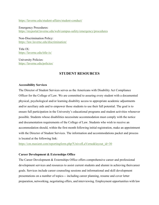<https://laverne.edu/student-affairs/student-conduct/>

Emergency Procedures: <https://myportal.laverne.edu/web/campus-safety/emergency/procedures>

Non-Discrimination Policy: <https://law.laverne.edu/discrimination/>

Title IX: <https://laverne.edu/title-ix/>

University Policies: <https://laverne.edu/policies/>

# **STUDENT RESOURCES**

#### **Accessibility Services**

The Director of Student Services serves as the Americans with Disability Act Compliance Officer for the College of Law. We are committed to assuring every student with a documented physical, psychological and/or learning disability access to appropriate academic adjustments and/or auxiliary aids and to empower those students to use their full potential. The goal is to ensure full participation in the University's educational programs and student activities whenever possible. Students whose disabilities necessitate accommodation must comply with the notice and documentation requirements of the College of Law. Students who wish to receive an accommodation should, within the first month following initial registration, make an appointment with the Director of Student Services. The information and accommodations packet and process is located at the following link:

[https://cm.maxient.com/reportingform.php?UnivofLaVerne&layout\\_id=30](https://cm.maxient.com/reportingform.php?UnivofLaVerne&layout_id=30)

#### **Career Development & Externships Office**

The Career Development & Externships Office offers comprehensive career and professional development services and resources to assist current students and alumni in achieving theircareer goals. Services include career counseling sessions and informational and skill development presentations on a number of topics--- including career planning, resume and cover letter preparation, networking, negotiating offers, and interviewing. Employment opportunities with law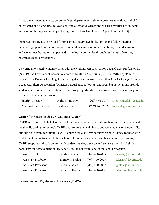firms, government agencies, corporate legal departments, public interest organizations, judicial externships and clerkships, fellowships, and alternative career options are advertised to students and alumni through an online job listing service, Law Employment Opportunities (LEO).

Opportunities are also provided for on campus interviews in the spring and fall. Numerous networking opportunities are provided for students and alumni at receptions, panel discussions, and workshops hosted on campus and in the local community throughout the year featuring prominent legal professionals.

La Verne Law's active memberships with the National Association for Legal Career Professionals (NALP), the Law School Career Advisors of Southern California (LSCA), PSJD.org (Public Service Juris Doctor), Los Angeles Area Legal Recruiters Association (LAALRA), Orange County Legal Recruiters Association (OCLRA), Equal Justice Works, and local bar associations provide students and alumni with additional networking opportunities and career resources necessary for success in the legal profession.

| Interim Director                | Akita Mungaray | $(909)$ 460-2017 | $\alpha$ amungaray $\omega$ laverne.edu |
|---------------------------------|----------------|------------------|-----------------------------------------|
| <b>Administrative Assistant</b> | Leah Wissink   |                  | $(909)$ 460-2056 lwissink@laverne.edu   |

#### **Center for Academic & Bar Readiness (CABR)**

CABR is a resource to help College of Law students identify and strengthen critical academic and legal skills during law school. CABR counselors are available to counsel students on study skills, outlining and exam techniques. CABR counselors also provide support and guidance to those who find it challenging to adapt to law school. Through its academic and bar readiness programs, the CABR supports and collaborates with students as they develop and enhance the critical skills necessary for achievement in law school, on the bar exam, and in the legal profession.

| Associate Dean             | Jendayi Saada   | $(909)$ 460-2038 | isaada@lawerne.edu  |
|----------------------------|-----------------|------------------|---------------------|
| <b>Assistant Professor</b> | Kimberly Farina | $(909)$ 460-2059 | kfarina@laverne.edu |
| <b>Assistant Professor</b> | Jemima Galan    | $(909)$ 460-2007 | igalan@lawerne.edu  |
| <b>Assistant Professor</b> | Jonathan Ibanez | $(909)$ 460-2036 | jibanez@laverne.edu |

**Counseling and Psychological Services (CAPS)**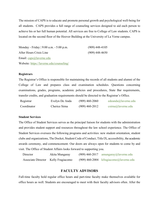The mission of CAPS is to educate and promote personal growth and psychological well-being for all students. CAPS provides a full range of counseling services designed to aid each person to achieve his or her full human potential. All services are free to College of Law students. CAPS is located on the second floor of the Hoover Building at the University of La Verne campus.

| Monday - Friday   9:00 a.m. - 5:00 p.m.  | $(909)$ 448-4105 |
|------------------------------------------|------------------|
| After Hours Crisis Line                  | $(909)$ 448-4650 |
| Email: caps@laverne.edu                  |                  |
| Website: https://laverne.edu/counseling/ |                  |

#### **Registrars**

The Registrar's Office is responsible for maintaining the records of all students and alumni of the College of Law and prepares class and examination schedules. Questions concerning examinations, grades, programs, academic policies and procedures, State Bar requirements, transfer credits, and graduation requirements should be directed to the Registrar's Office.

| Registrar   | Evelyn De Anda | $(909)$ 460-2060 | edeanda@laverne.edu   |
|-------------|----------------|------------------|-----------------------|
| Coordinator | Cherice Sirna  | $(909)$ 460-2012 | $csirma@$ laverne.edu |

#### **Student Services**

The Office of Student Services serves as the principal liaison for students with the administration and provides student support and resources throughout the law school experience. The Office of Student Services oversees the following programs and activities: new student orientation, student clubs and organizations, The Docket, Student Code of Conduct, Title IX, accessibility, the academic awards ceremony, and commencement. Our doors are always open for students to come by and visit. The Office of Student Affairs looks forward to supporting you.

| Director                            | Akita Mungaray | $(909)$ 460-2017 amungaray@laverne.edu   |
|-------------------------------------|----------------|------------------------------------------|
| Associate Director Kelly Fragiacomo |                | $(909)$ 460-2004 kfragiacomo@laverne.edu |

# **FACULTY ADVISORS**

Full-time faculty hold regular office hours and part-time faculty make themselves available for office hours as well. Students are encouraged to meet with their faculty advisors often. After the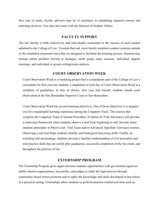first year of study, faculty advisors may be of assistance in scheduling required courses and selecting electives. You may also meet with the Director of Student Affairs.

#### **FACULTY SUPPORT**

The law faculty is both collectively and individually committed to the success of each student admitted to the College of Law. Towards that end, most faculty members conduct sessions outside of the scheduled classroom times that are designed to facilitate the learning process. Sessions may include online problem solving or dialogue, small group study sessions, individual support meetings, and individual or group writing/exam analysis.

#### **COURT OBSERVATION WEEK**

Court Observation Week is a weeklong project that is a mandatory part of the College of Law's curriculum for first year law students. Completion of each day of Court Observation Week is a condition of graduation. In lieu of classes, first year and transfer students attend court observation at the San Bernardino Superior Court in San Bernardino.

Court Observation Week has several learning objectives. One of those objectives is to prepare you for a meaningful learning experience during the Litigation Track. The courses that comprise the Litigation Track (Criminal Procedure, Evidence & Trial Advocacy) will provide a contextual framework when students observe a trial from beginning to end. Second, many students participate in Moot Court, Trial Team and/or Advanced Appellate Advocacy courses. Observing a real trial helps students identify and build good lawyering skills. Finally, by watching trial proceedings, students develop a baseline understanding of civil procedure and trial practice skills that are useful after graduation, successful completion of the bar exam, and throughout the practice of law.

#### **EXTERNSHIP PROGRAM**

The Externship Program gives upper-division students opportunities with government agencies, public interest organizations, non-profits, and judges to study the legal process through community-based extern positions and to apply the knowledge and skills developed in lawschool in a practical setting. Externships allow students to perform practice-related activities such as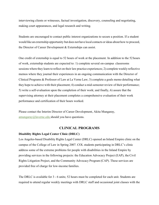interviewing clients or witnesses, factual investigation, discovery, counseling and negotiating, making court appearances, and legal research and writing.

Students are encouraged to contact public interest organizations to secure a position. If a student would like an externship opportunity but does not have local contacts or ideas about how to proceed, the Director of Career Development & Externships can assist.

One credit of externship is equal to 52 hours of work at the placement. In addition to the 52 hours of work, externship students are expected to: 1) complete several on-campus classrooms sessions where they learn to reflect on their law practice experiences; 2) complete weekly reflective memos where they journal their experiences in an ongoing communication with the Director of Clinical Programs & Professor of Law at La Verne Law; 3) complete a goals memo detailing what they hope to achieve with their placement; 4) conduct a mid-semester review of their performance; 5) write a self-evaluation upon the completion of their work; and finally, 6) assure that the supervising attorney at their placement completes a comprehensive evaluation of their work performance and certification of their hours worked.

Please contact the Interim Director of Career Development, Akita Mungaray,  $amungaray@laverne.edu should you have questions.$  $amungaray@laverne.edu should you have questions.$ 

# **CLINICAL PROGRAMS**

#### **Disability Rights Legal Center Clinic (DRLC)**

Los Angeles-based Disability Rights Legal Center (DRLC) opened an Inland Empire clinic on the campus of the College of Law in Spring 2007. COL students participating in DRLC's clinic address some of the extreme problems for people with disabilities in the Inland Empire by providing services in the following projects: the Education Advocacy Project (EAP), the Civil Rights Litigation Project, and the Community Advocacy Program (CAP). These services are provided free of charge for low-income families.

The DRLC is available for 3 - 6 units; 52 hours must be completed for each unit. Students are required to attend regular weekly meetings with DRLC staff and occasional joint classes with the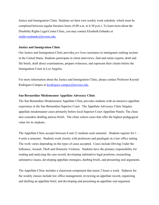Justice and Immigration Clinic. Students set their own weekly work schedule, which must be completed between regular business hours (8:00 a.m. to 6:30 p.m.). To learn more about the Disability Rights Legal Center Clinic, you may contact Elizabeth Eubanks at <mailto:eeubanks@laverne.edu.>

#### **Justice and Immigration Clinic**

Our Justice and Immigration Clinic provides *pro bono* assistance to immigrants seeking asylum in the United States. Students participate in client interviews, find and retain experts, draft and file briefs, draft direct examinations, prepare witnesses, and represent their clients before the Immigration Court in Los Angeles.

For more information about the Justice and Immigration Clinic, please contact Professor Krystal Rodriguez-Campos at [krodriguez-campos@laverne.edu](mailto:krodriguez-campos@laverne.edu).

#### **San Bernardino Misdemeanor Appellate Advocacy Clinic**

The San Bernardino Misdemeanor Appellate Clinic provides students with an intensive appellate experience in the San Bernardino Superior Court. The Appellate Advocacy Clinic litigates appellate misdemeanor cases primarily before local Superior Court Appellate Panels. The clinic also considers drafting amicus briefs. The clinic selects cases that offer the highest pedagogical value for its students.

The Appellate Clinic accepts between 8 and 12 students each semester. Students register for 1 – 4 units a semester. Students work closely with professors and paralegals in a law office setting. The work varies depending on the types of cases accepted. Cases include Driving Under the Influence, Assault, Theft and Domestic Violence. Students have the primary responsibility for reading and analyzing the case record, developing substantive legal positions, researching substantive issues, developing appellate strategies, drafting briefs, and presenting oral arguments.

The Appellate Clinic includes a classroom component that meets 2 hours a week. Subjects for the weekly classes include law office management, reviewing an appellate record, organizing and drafting an appellate brief, and developing and presenting an appellate oral argument.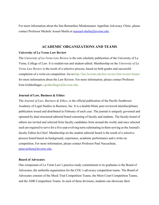For more information about the San Bernardino Misdemeanor Appellate Advocacy Clinic, please contact Professor Michele Assael-Shafia at [massael-shafia@laverne.edu.](mailto:massael-shafia@laverne.edu)

#### **ACADEMIC ORGANIZATIONS AND TEAMS**

#### **University of La Verne Law Review**

The *University of La Verne Law Review* is the sole scholarly publication of the University of La Verne, College of Law. It is student-run and student-edited. Membership on the *University of La Verne Law Review* is the result of a selective process, based on both grades and successful completion of a write-on competition. Go to <http://law.laverne.edu/law-review/law-review-home/> for more information about the Law Review. For more information, please contact Professor Ezra Goldschlager, [egoldschlager@laverne.edu](mailto:egoldschlager@laverne.edu).

#### **Journal of Law, Business & Ethics**

The *Journal of Law, Business & Ethics*, is the official publication of the Pacific Southwest Academy of Legal Studies in Business, Inc. It is a double-blind, peer-reviewed interdisciplinary publication issued and distributed in February of each year. The journal is uniquely governed and operated by dual structured editorial board consisting of faculty and students. The faculty board of editors are invited and selected from faculty candidates from around the world, and once selected each are required to serve for a five-year evolving term culminating in them serving as the Journal's faculty Editor-In-Chief. Membership on the student editorial board is the result of a selective process board based on background, experience, academic performance and a write-on competition. For more information, please contact Professor Paul Naccachian, [pnaccachian@laverne.edu.](mailto:pnaccachian@laverne.edu.)

#### **Board of Advocates**

One component of La Verne Law's practice-ready commitment to its graduates is the Board of Advocates, the umbrella organization for the COL's advocacy competition teams. The Board of Advocates consists of the Mock Trial Competition Teams, the Moot Court Competition Teams, and the ADR Competition Teams. In each of these divisions, students can showcase their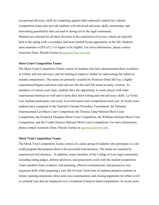exceptional advocacy skills by competing against other nationally ranked law schools. Competition teams also provide students with advanced advocacy skills, mentorship, and networking possibilities that can lead to strong ties to the legal community. Students are selected for all three divisions at the conclusion of tryouts, which are typically held in the spring with a secondary and more limited tryout opportunity in the fall. Students must maintain a GPA of 2.3 or higher to be eligible. For more information, please contact Associate Dean, Placido Gomez at [pgomez@laverne.edu.](mailto:pgomez@laverne.edu)

#### **Moot Court Competition Teams**

The Moot Court Competition Teams consist of students who have demonstrated their excellence in written and oral advocacy and are looking to improve further by representing the school at outside competitions. The teams are primarily coached by Professor Dean McVay, a highly experienced litigator and moot court advisor who has led COL teams to many victories. As members of a moot court team, students have the opportunity to work closely with other experienced attorneys as well and to hone their brief writing and oral advocacy skills. La Verne Law students participate, and excel, in several moot court competitions each year. In recent years, students have competed in the National Criminal Procedure Tournament, the National Entertainment LawMoot Court Competition, the Thomas Tang National Moot Court Competition, the Frederick Douglass Moot Court Competition, the Williams Institute Moot Court Competition, and the Uvaldo Herrera National Moot Court Competition. For more information, please contact Associate Dean, Placido Gomez at [pgomez@laverne.edu](mailto:pgomez@laverne.edu).

#### **Mock Trial Competition Teams**

The Mock Trial Competition Teams consist of a select group of students who participate in a forcredit program that prepares them to be successful trial attorneys. The teams are coached by experienced trial attorneys. In addition, many members of the College of Law legal community including sitting judges, defense attorneys, and prosecutors work with the student competitors. Team members learn evidence, trial planning, effective examinations, and persuasive oral argument skills while preparing a case file for trial. Each team of students prepares motions in limine, opening statements, direct and cross examinations, and closing arguments for either a civil or criminal case that are displayed over a weekend of head-to-head competitions. In recent years,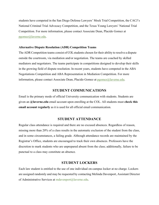students have competed in the San Diego Defense Lawyers' Mock Trial Competition, the CACJ's National Criminal Trial Advocacy Competition, and the Texas Young Lawyers' National Trial Competition. For more information, please contact Associate Dean, Placido Gomez at [pgomez@laverne.edu](mailto:pgomez@laverne.edu).

#### **Alternative Dispute Resolution (ADR) Competition Teams**

The ADR Competition teams consist of COL students chosen for their ability to resolve a dispute outside the courtroom, via mediation and/or negotiation. The teams are coached by skilled mediators and negotiators. The teams participate in competitions designed to develop their skills in the growing field of dispute resolution. In recent years, students have competed in the ABA Negotiations Competition and ABA Representation in Mediation Competition. For more information, please contact Associate Dean, Placido Gomez at [pgomez@laverne.edu](mailto:pgomez@laverne.edu).

#### **STUDENT COMMUNICATIONS**

Email is the primary mode of official University communication with students. Students are given an **@laverne.edu** email account upon enrolling at the COL. All students must **check this email account regularly** as it is used for all official email communication.

# **STUDENT ATTENDANCE**

Regular class attendance is required and there are no excused absences. Regardless of reason, missing more than 20% of a class results in the automatic exclusion of the student from the class, and in some circumstances, a failing grade. Although attendance records are maintained by the Registrar's Office, students are encouraged to track their own absences. Professors have the discretion to mark students who are unprepared absent from the class; additionally, failure to be punctual to a class may constitute an absence.

# **STUDENT LOCKERS**

Each law student is entitled to the use of one individual on-campus locker at no charge. Lockers are assigned randomly and may be requested by contacting Melinda Davenport, Assistant Director of Administrative Services at [mdavenport@laverne.edu](mailto:mdavenport@laverne.edu).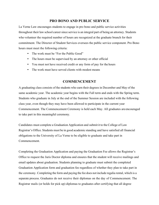# **PRO BONO AND PUBLIC SERVICE**

La Verne Law encourages students to engage in pro bono and public service activities throughout their law school career since service is an integral part of being an attorney. Students who volunteer the required number of hours are recognized at the graduate brunch for their commitment. The Director of Student Services oversees the public service component. Pro Bono hours must meet the following criteria:

- The work must be "For the Public Good"
- The hours must be supervised by an attorney or other official
- You must not have received credit or any form of pay for the hours
- The work must have served clients with modest means

# **COMMENCEMENT**

A graduating class consists of the students who earn their degrees in December and May of the same academic year. The academic year begins with the Fall term and ends with the Spring term. Students who graduate in July at the end of the Summer Session are included with the following class year, even though they may have been allowed to participate in the current year Commencement. The Commencement Ceremony is held each May. All graduates areencouraged to take part in this meaningful ceremony.

Candidates must complete a Graduation Application and submit it to the College of Law Registrar's Office. Students must be in good academic standing and have satisfied all financial obligations to the University of La Verne to be eligible to graduate and take part in Commencement.

Completing the Graduation Application and paying the Graduation Fee allows the Registrar's Office to request the Juris Doctor diploma and ensures that the student will receive mailings and email updates about graduation. Students planning to graduate must submit the completed Graduation Application form and graduation fee regardless of whether they plan to take part in the ceremony. Completing the form and paying the fee does not include regalia rental, which is a separate process. Graduates do not receive their diplomas on the day of Commencement. The Registrar mails (or holds for pick up) diplomas to graduates after certifying that all degree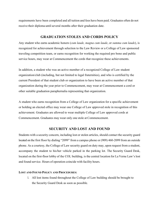requirements have been completed and all tuition and fees have been paid. Graduates often do not receive their diploma until several months after their graduation date.

# **GRADUATION STOLES AND CORDS POLICY**

Any student who earns academic honors (*cum laude, magna cum laude*, or *summa cum laude*), is recognized for achievement through selection to the Law Review or a College of Law sponsored traveling competition team, or earns recognition for working the required pro bono and public service hours, may wear at Commencement the cords that recognize these achievements.

In addition, a student who was an active member of a recognized College of Law student organization/club (including, but not limited to legal fraternities), and who is certified by the current President of that student club or organization to have been an active member of that organization during the year prior to Commencement, may wear at Commencement a cord or other suitable graduation paraphernalia representing that organization.

A student who earns recognition from a College of Law organization for a specific achievement or holding an elected office may wear one College of Law approved stole in recognition of this achievement. Graduates are allowed to wear multiple College of Law approved cords at Commencement. Graduates may wear only one stole at Commencement.

# **SECURITY AND LOST AND FOUND**

Students with a security concern, including lost or stolen articles, should contact the security guard located on the first floor by dialing "2099" from a campus phone or (909) 460-2099 from an outside phone. As a courtesy, the College of Law security guard on duty may, upon request from a student, accompany the student to his/her vehicle parked in the parking lot. The Security Guard Desk, located on the first-floor lobby of the COL building, is the central location for La Verne Law's lost and found service. Hours of operation coincide with facility hours.

#### **LOST AND FOUND POLICY AND PROCEDURES:**

1. All lost items found throughout the College of Law building should be brought to the Security Guard Desk as soon as possible.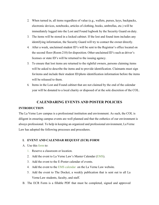- 2. When turned in, all items regardless of value (e.g., wallets, purses, keys, backpacks, electronic devices, notebooks, articles of clothing, books, umbrellas, etc.) will be immediately logged into the Lost and Found logbook by the Security Guard on duty.
- 3. The items will be stored in a locked cabinet. If the lost and found item includes any identifying information, the Security Guard will try to contact the owner directly.
- 4. After a week, unclaimed student ID's will be sent to the Registrar's office located on the second floor (Room 210) for disposition. Other unclaimed ID's such as driver's licenses or state ID's will be returned to the issuing agency.
- 5. To ensure that lost items are returned to the rightful owners, persons claiming items will be asked to describe the items and to provide identification. Claimants must sign foritems and include their student ID/photo identification information before the items will be released to them.
- 6. Items in the Lost and Found cabinet that are not claimed by the end of the calendar year will be donated to a local charity or disposed of at the sole discretion of the COL.

# **CALENDARING EVENTS AND POSTER POLICIES**

#### **INTRODUCTION**

The La Verne Law campus is a professional institution and environment. As such, the COL is diligent in ensuring campus events are well planned and that the esthetics of our environment is always professional. To help in keeping an organized and professional environment, LaVerne Law has adopted the following processes and procedures.

#### **I. EVENT AND CALENDAR REQUEST (ECR) FORM**

- A. Use this [form](http://law.laverne.edu/wp-content/uploads/2016/09/Event-Calendar-Request.pdf?608141) to:
	- 1. Reserve a classroom or location.
	- 2. Add the event to La Verne Law's Master Calendar [\(EMS\)](http://calendar.laverne.edu/VirtualEMS/BrowseEvents.aspx).
	- 3. Add the event to the E-Poster calendar of events.
	- 4. Add the event to the [EMS calendar](https://calendar.laverne.edu/VirtualEMS/BrowseEvents.aspx) on the La Verne Law website.
	- 5. Add the event to The Docket, a weekly publication that is sent out to all La VerneLaw students, faculty, and staff.
- B. The ECR Form is a fillable PDF that must be completed, signed and approved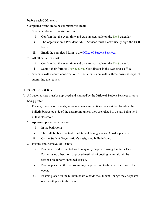before each COL event.

- C. Completed forms are to be submitted via email.
	- 1. Student clubs and organizations must:
		- i. Confirm that the event time and date are available on the [EMS](http://calendar.laverne.edu/VirtualEMS/BrowseEvents.aspx) calendar.
		- ii. The organization's President AND Advisor must electronically sign the ECR Form.
		- iii. Email the completed form to the **Office of Student Services**.
	- 2. All other parties must:
		- i. Confirm that the event time and date are available on the [EMS](http://calendar.laverne.edu/VirtualEMS/BrowseEvents.aspx) calendar.
		- ii. Submit their form to [Cherice Sirna,](mailto:csirna@laverne.edu) Coordinator in the Registrar's office.
	- 3. Students will receive confirmation of the submission within three business days of submitting the request.

# **II. POSTER POLICY**

- A. All paper posters must be approved and stamped by the Office of Student Services prior to being posted.
	- 1. Posters, flyers about events, announcements and notices may **not** be placed on the bulletin boards outside of the classroom, unless they are related to a class being held in that classroom.
	- 2. Approved poster locations are:
		- i. In the bathrooms
		- ii. The bulletin board outside the Student Lounge- one (1) poster per event.
		- iii. On the Student Organization's designated bulletin board.
	- 2. Posting and Removal of Posters
		- i. Posters affixed to painted walls may only be posted using Painter's Tape. Parties using other, non- approved methods of posting materials will be responsible for any damaged caused.
		- ii. Posters placed in the bathroom may be posted up to three weeks prior to the event.
		- iii. Posters placed on the bulletin board outside the Student Lounge may be posted one month prior to the event.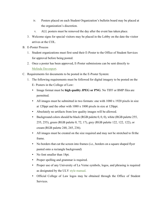- iv. Posters placed on each Student Organization's bulletin board may be placed at the organization's discretion.
- v. ALL posters must be removed the day after the event has taken place.
- 3. Welcome signs for special visitors may be placed in the Lobby on the date the visitor arrives at the COL.
- B. E-Poster Process
	- 1. Student organizations must first send their E-Poster to the Office of Student Services for approval before being posted.
	- 2. Once a poster has been approved, E-Poster submissions can be sent directly to [Melinda Davenport.](mailto:mailto:mdavenport@laverne.edu)
- C. Requirements for documents to be posted in the E-Poster System:
	- 1. The following requirements must be followed for digital imagery to be posted on the E- Posters in the College of Law:
		- Image format must be **high quality JPEG or PNG**. No TIFF or BMP files are permitted.
		- All images must be submitted in two formats: one with 1080 x 1920 pixels in size at 120ppi and the other with 1080 x 1800 pixels in size at 120ppi.
		- Absolutely no artifacts from low quality images will be allowed.
		- Background colors should be black (RGB palette  $0, 0, 0$ ), white (RGB palette 255, 255, 255), green (RGB palette 0, 72, 17), grey (RGB palette 122, 122, 122), or cream (RGB palette 248, 245, 236).
		- All images must be created on the size required and may not be stretched to fit the frame.
		- No borders that cut the screen into frames (i.e., borders on a square shaped flyer pasted onto a rectangle background)
		- No font smaller than 18pt.
		- Proper spelling and grammar is required.
		- Proper use of any University of La Verne symbols, logos, and phrasing is required as designated by the ULV style [manual.](https://laverne.edu/identity/)
		- Official College of Law logos may be obtained through the Office of Student Services.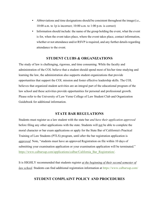- Abbreviations and time designations should be consistent throughout the image (i.e.,  $10:00$  a.m. to 1p is incorrect;  $10:00$  a.m. to  $1:00$  p.m. is correct)
- Information should include: the name of the group holding the event, what the event is for, when the event takes place, where the event takes place, contact information, whether or not attendance and/or RSVP is required, and any further details regarding attendance to the event.

# **STUDENT CLUBS & ORGANIZATIONS**

The study of law is challenging, rigorous, and time consuming. While the faculty and administration of the COL believe that a student should spend most of his/her time studying and learning the law, the administration also supports student organizations that provide opportunities that support the COL mission and foster effective leadership skills. The COL believes that organized student activities are an integral part of the educational program of the law school and these activities provide opportunities for personal and professional growth. Please refer to the University of Law Verne College of Law Student Club and Organization Guidebook for additional information.

#### **STATE BAR REGULATIONS**

Students must register as a law student with the state bar *and have their application approved*  before filing any other applications with the state. Students will not be able to complete the moral character or bar exam applications or apply for the State Bar of California's Practical Training of Law Students (PTLS) program, until after the bar registration application is *approved*. Note, "students must have an approved Registration on file within 10 days of submitting your examination application or your examination application will be terminated." [https://www.calbarxap.com/applications/calbar/California\\_Bar\\_Registration/](https://www.calbarxap.com/applications/calbar/California_Bar_Registration/).

It is HIGHLY recommended that students register *at the beginning of their second semester of law school*. Students can find additional registration information at <https://www.calbarxap.com/>

# **STUDENT COMPLAINT POLICY AND PROCEDURES**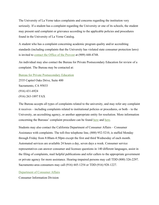The University of La Verne takes complaints and concerns regarding the institution very seriously. If a student has a complaint regarding the University or one of its schools, the student may present said complaint or grievance according to the applicable policies and procedures found in the University of La Verne Catalog.

A student who has a complaint concerning academic program quality and/or accrediting standards (including complaints that the University has violated state consumer protection laws) is invited to [contact the Office of the Provost](mailto:provost@laverne.edu) at (909) 448-4748.

An individual may also contact the Bureau for Private Postsecondary Education for review of a complaint. The Bureau may be contacted at:

[Bureau for Private Postsecondary Education](http://bppe.ca.gov/)

2535 Capitol Oaks Drive, Suite 400 Sacramento, CA 95833 (916) 431-6924 (916) 263-1897 FAX

The Bureau accepts all types of complaints related to the university, and may refer any complaint it receives – including complaints related to institutional policies or procedures, or both – to the University, an accrediting agency, or another appropriate entity for resolution. More information concerning the Bureaus' complaint procedure can be found [here](http://bppe.ca.gov/enforcement/faqs.shtml) and [here](http://bppe.ca.gov/enforcement/complaint.shtml).

Students may also contact the California Department of Consumer Affairs – Consumer Assistance with complaints. The toll-free telephone line, (800) 952-5210, is staffed Monday through Friday from 8:00am-4:50pm except the first and third Wednesday of each month. Automated services are available 24 hours a day, seven days a week. Consumer service representatives can answer consumer and licensee questions in 140 different languages, assist in the filing of complaints, mail helpful publications and refer callers to the appropriate government or private agency for more assistance. Hearing-impaired persons may call TDD (800) 326-2297. Sacramento-area consumers may call (916) 445-1254 or TDD (916) 928-1227.

[Department of Consumer Affairs](https://www.dca.ca.gov/)

Consumer Information Division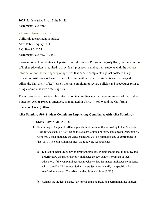1625 North Market Blvd., Suite N 112 Sacramento, CA 95834

# [Attorney General's Office](https://oag.ca.gov/sites/all/files/agweb/pdfs/contact/business_corpform.pdf) California Department of Justice

Attn: Public Inquiry Unit P.O. Box 9044255 Sacramento, CA 94244-2550

Pursuant to the United States Department of Education's Program Integrity Rule, each institution of higher education is required to provide all prospective and current students with the [contact](https://laverne.edu/online/state-authorization/consumer-protection-state-contacts/) [information for the state agency or agencies](https://laverne.edu/online/state-authorization/consumer-protection-state-contacts/) that handle complaints against postsecondary education institutions offering distance learning within that state. Students are encouraged to utilize the University of La Verne's internal complaint or review policies and procedures prior to filing a complaint with a state agency.

The university has provided this information in compliance with the requirements of the Higher Education Act of 1965, as amended, as regulated in CFR 34 §600.9, and the California Education Code §94874.

# **ABA Standard 510- Student Complaints Implicating Compliance with ABA Standards**

# STUDENT 510 COMPLAINTS

- 1. Submitting a Complaint: 510 complaints must be submitted in writing to the Associate Dean for Academic Affairs using the Student Complaint form, contained in Appendix C. Concerns which implicate the ABA Standards will be communicated as appropriate to the ABA. The complaint must meet the following requirements:
	- a Explain in detail the behavior, program, process, or other matter that is at issue, and describe how the matter directly implicates the law school's program of legal education. If the complaining student believes that the matter implicates compliance with a specific ABA standard, then the student must identify the specific ABA standard implicated. The ABA standard is available at: [URL].
	- b Contain the student's name, law school email address, and current mailing address.